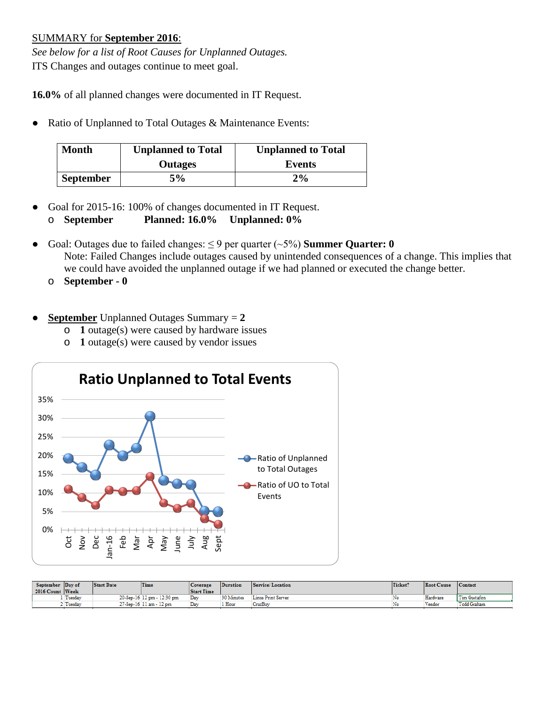## SUMMARY for **September 2016**:

*See below for a list of Root Causes for Unplanned Outages.* ITS Changes and outages continue to meet goal.

**16.0%** of all planned changes were documented in IT Request.

● Ratio of Unplanned to Total Outages & Maintenance Events:

| <b>Month</b>     | <b>Unplanned to Total</b> | <b>Unplanned to Total</b> |
|------------------|---------------------------|---------------------------|
|                  | <b>Outages</b>            | Events                    |
| <b>September</b> | 5%                        | $2\%$                     |

- Goal for 2015-16: 100% of changes documented in IT Request.
	- o **September Planned: 16.0% Unplanned: 0%**
- Goal: Outages due to failed changes: ≤ 9 per quarter (~5%) **Summer Quarter: 0** Note: Failed Changes include outages caused by unintended consequences of a change. This implies that we could have avoided the unplanned outage if we had planned or executed the change better.
	- o **September - 0**
- **September** Unplanned Outages Summary = **2**
	- o **1** outage(s) were caused by hardware issues
	- o **1** outage(s) were caused by vendor issues



| September Day of<br>2016 Count Week | <b>Start Date</b> | Time                       | <b>Coverage</b><br><b>Start Time</b> | Duration          | Service/Location   | Ticket? | <b>Root Cause</b> | Contact      |
|-------------------------------------|-------------------|----------------------------|--------------------------------------|-------------------|--------------------|---------|-------------------|--------------|
| Tuesday                             |                   | 20-Sep-16 12 pm - 12:30 pm | Day                                  | <b>30 Minutes</b> | Linus Print Server | No      | Hardware          | Tim Gustafon |
| Tuesday                             |                   | 27-Sep-16 11 am - 12 pm    | Dav                                  | 1 Hour            | CruzBuv            | No      | Vendor            | Todd Graham  |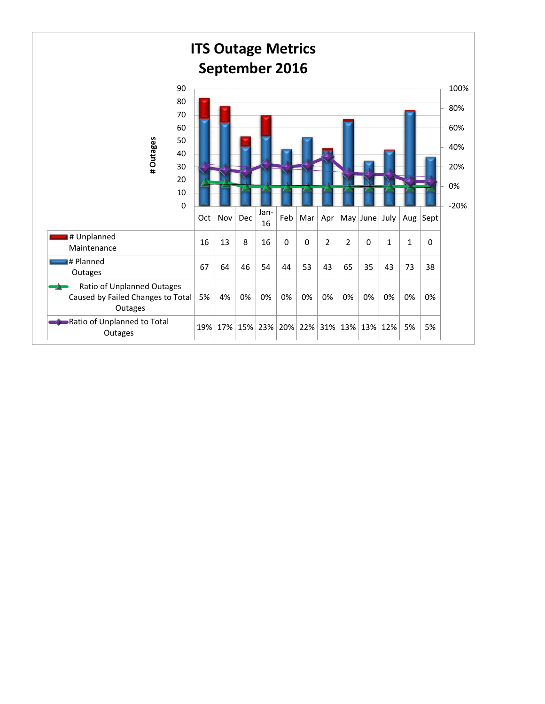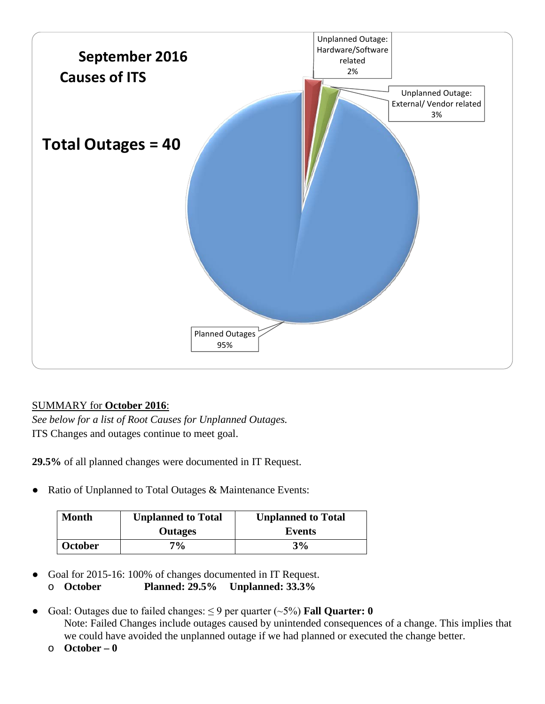

## SUMMARY for **October 2016**:

*See below for a list of Root Causes for Unplanned Outages.* ITS Changes and outages continue to meet goal.

**29.5%** of all planned changes were documented in IT Request.

• Ratio of Unplanned to Total Outages & Maintenance Events:

| Month          | <b>Unplanned to Total</b> | <b>Unplanned to Total</b> |
|----------------|---------------------------|---------------------------|
|                | <b>Outages</b>            | Events                    |
| <b>October</b> | $7\%$                     | 3%                        |

- Goal for 2015-16: 100% of changes documented in IT Request.
	- o **October Planned: 29.5% Unplanned: 33.3%**
- Goal: Outages due to failed changes:  $\leq$  9 per quarter ( $\sim$ 5%) **Fall Quarter: 0** Note: Failed Changes include outages caused by unintended consequences of a change. This implies that we could have avoided the unplanned outage if we had planned or executed the change better.
	- o **October – 0**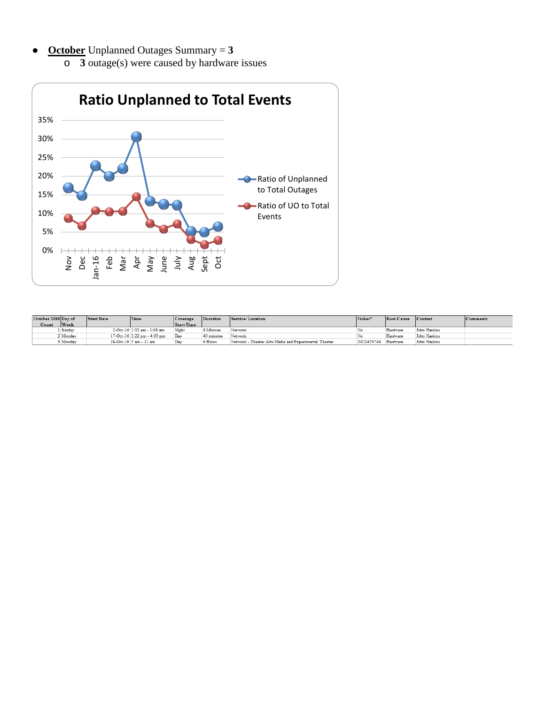● **October** Unplanned Outages Summary = **3** o **3** outage(s) were caused by hardware issues



| October 2016 Day of |        | <b>Start Date</b> | Time                        | Coverage          | <b>Duration</b> | Service/Location                                      | Ticket?           | <b>Root Cause</b> | Contact      | <b>Comments</b> |
|---------------------|--------|-------------------|-----------------------------|-------------------|-----------------|-------------------------------------------------------|-------------------|-------------------|--------------|-----------------|
| Count               | Week   |                   |                             | <b>Start Time</b> |                 |                                                       |                   |                   |              |                 |
|                     | Sunday |                   | 2-Oct-16 1:02 am - 1:08 am  | Night             | 6 Minutes       | Network                                               |                   | Hardware          | John Haskins |                 |
|                     | Monday |                   | 17-Oct-16 3:22 pm - 4:03 pm | Day               | 40 minutes      | Network                                               |                   | Hardware          | John Haskins |                 |
|                     | Monday |                   | 24-Oct-16 5 am - 11 am      | Dav               | 6 Hours         | Network - Theater Arts Media and Experimental Theater | <b>INC0459746</b> | Hardware          | John Haskins |                 |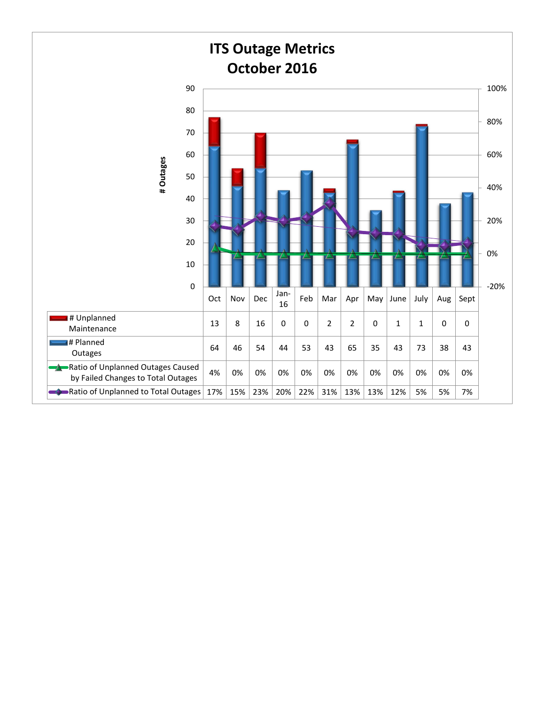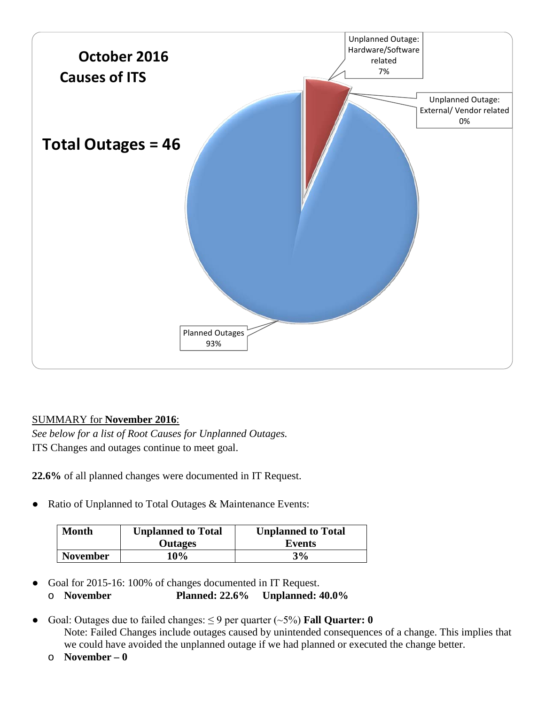

## SUMMARY for **November 2016**:

*See below for a list of Root Causes for Unplanned Outages.* ITS Changes and outages continue to meet goal.

**22.6%** of all planned changes were documented in IT Request.

Ratio of Unplanned to Total Outages & Maintenance Events:

| Month           | <b>Unplanned to Total</b> | <b>Unplanned to Total</b> |
|-----------------|---------------------------|---------------------------|
|                 | <b>Outages</b>            | Events                    |
| <b>November</b> | <b>10%</b>                | 3%                        |

- Goal for 2015-16: 100% of changes documented in IT Request. o **November Planned: 22.6% Unplanned: 40.0%**
- Goal: Outages due to failed changes:  $\leq$  9 per quarter ( $\sim$ 5%) **Fall Quarter: 0** Note: Failed Changes include outages caused by unintended consequences of a change. This implies that we could have avoided the unplanned outage if we had planned or executed the change better.
	- o **November – 0**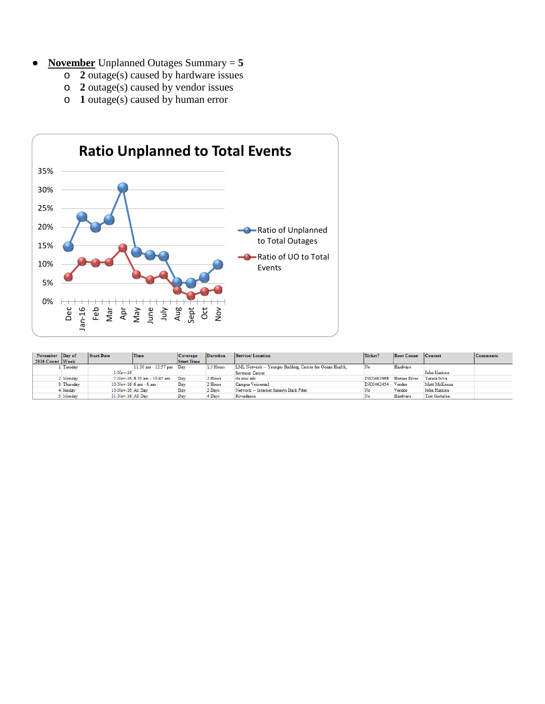- **<u>November</u>** Unplanned Outages Summary  $= 5$ 
	- o **2** outage(s) caused by hardware issues
	- o **2** outage(s) caused by vendor issues
	- o **1** outage(s) caused by human error



| November Day of |          | Start Date        | Time                               | Coverage          | Duration  | Service/Location                                          | Ticket?    | <b>Root Cause</b> | Contact      | <b>Comments</b> |
|-----------------|----------|-------------------|------------------------------------|-------------------|-----------|-----------------------------------------------------------|------------|-------------------|--------------|-----------------|
| 2016 Count Week |          |                   |                                    | <b>Start Time</b> |           |                                                           |            |                   |              |                 |
|                 | Tuesday  |                   | $11:30$ am - $12:57$ pm $\Box$ Day |                   | 1.5 Hours | LML Network -- Younger Building, Center for Ocean Health. | No         | Hardware          |              |                 |
|                 |          | $1-Nov-16$        |                                    |                   |           | Seymour Center                                            |            |                   | John Haskins |                 |
|                 | Monday   |                   | 7-Nov-16 8:30 am - 10:45 am        | Dav               | 2 Hours   | its.uese.edu                                              | INC0461968 | Human Error       | Teresa Silva |                 |
|                 | Thursday |                   | $10$ -Nov- $16/6$ am - $8$ am      | Day               | 2 Hours   | Campus Voicemail                                          | INC0462454 | Vendor            | Matt McKenna |                 |
|                 | 4 Sunday | 13-Nov-16 All Day |                                    | Day               | 2 Days    | Network -- Internet Sunesys Dark Fiber                    | No         | Vendor            | John Haskins |                 |
|                 | Monday   | 21-Nov-16 All Dav |                                    | Day               | 4 Days    | Riverdance                                                | No         | Hardware          | Tim Gustafon |                 |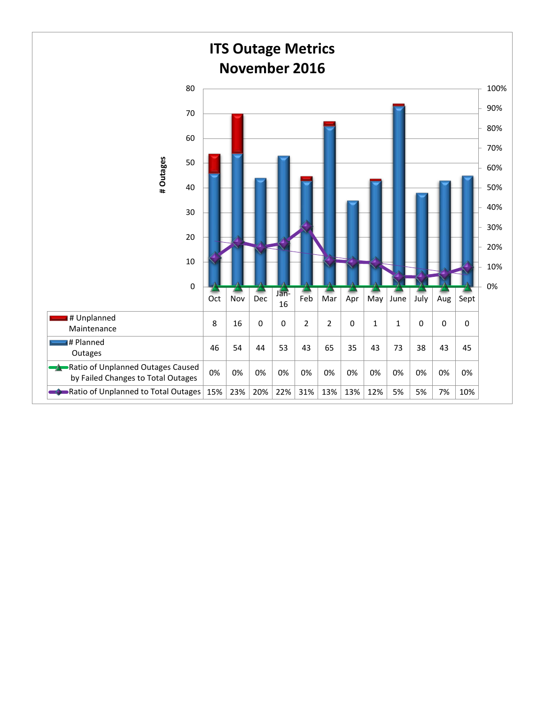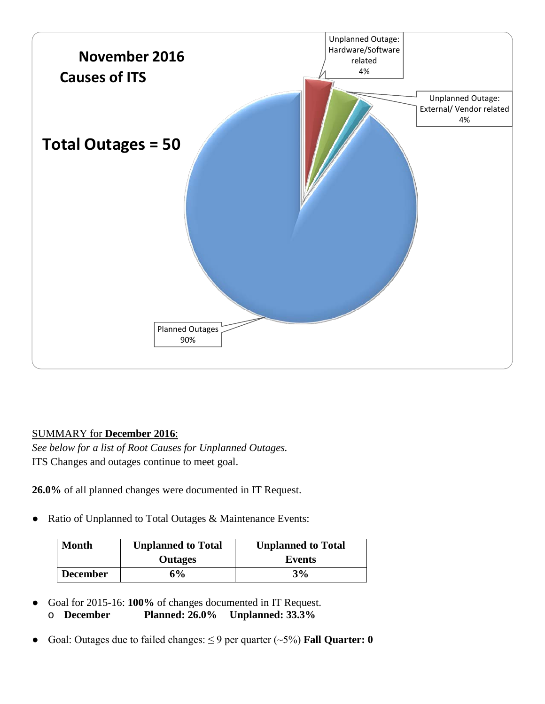

## SUMMARY for **December 2016**:

*See below for a list of Root Causes for Unplanned Outages.* ITS Changes and outages continue to meet goal.

**26.0%** of all planned changes were documented in IT Request.

● Ratio of Unplanned to Total Outages & Maintenance Events:

| <b>Month</b>    | <b>Unplanned to Total</b> | <b>Unplanned to Total</b> |
|-----------------|---------------------------|---------------------------|
|                 | <b>Outages</b>            | Events                    |
| <b>December</b> | 6%                        | 3%                        |

- Goal for 2015-16: **100%** of changes documented in IT Request. o **December Planned: 26.0% Unplanned: 33.3%**
- Goal: Outages due to failed changes:  $\leq$  9 per quarter ( $\sim$ 5%) **Fall Quarter: 0**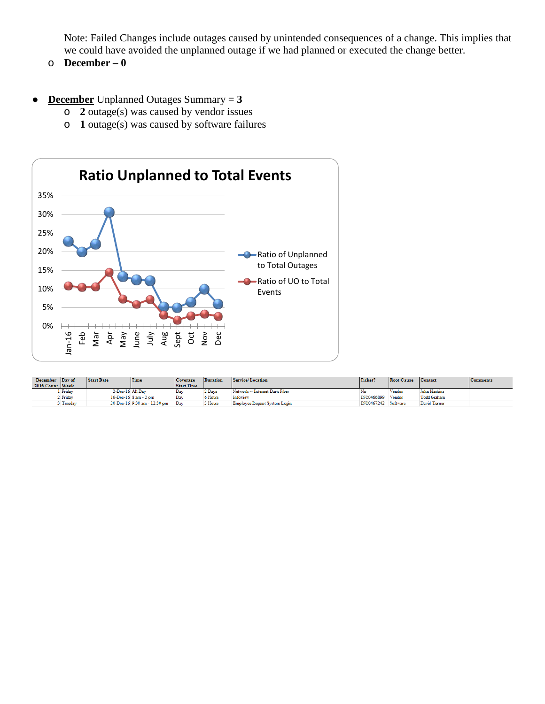Note: Failed Changes include outages caused by unintended consequences of a change. This implies that we could have avoided the unplanned outage if we had planned or executed the change better.

- o **December – 0**
- **December** Unplanned Outages Summary = **3**
	- o **2** outage(s) was caused by vendor issues
	- o **1** outage(s) was caused by software failures



| December Day of |          | <b>Start Date</b> | Time                         | Coverage          | <b>Duration</b> | Service/Location               | Ticket?             | <b>Root Cause</b> | Contact      | <b>Comments</b> |
|-----------------|----------|-------------------|------------------------------|-------------------|-----------------|--------------------------------|---------------------|-------------------|--------------|-----------------|
| 2016 Count Week |          |                   |                              | <b>Start Time</b> |                 |                                |                     |                   |              |                 |
|                 | Friday   | 2-Dec-16 All Dav  |                              | Dav               | 2 Davs          | Network -- Internet Dark Fiber |                     | Vendor            | John Haskins |                 |
|                 | / Friday |                   | 16-Dec-16 8 am - 2 pm        | Dav               | 6 Hours         | Infoview                       | INC0466899          | Vendor            | Todd Graham  |                 |
|                 | Tuesday  |                   | 20-Dec-16 9:30 am - 12:30 pm | Dav               | 3 Hours         | Employee Request System Login  | INC0467242 Software |                   | David Turner |                 |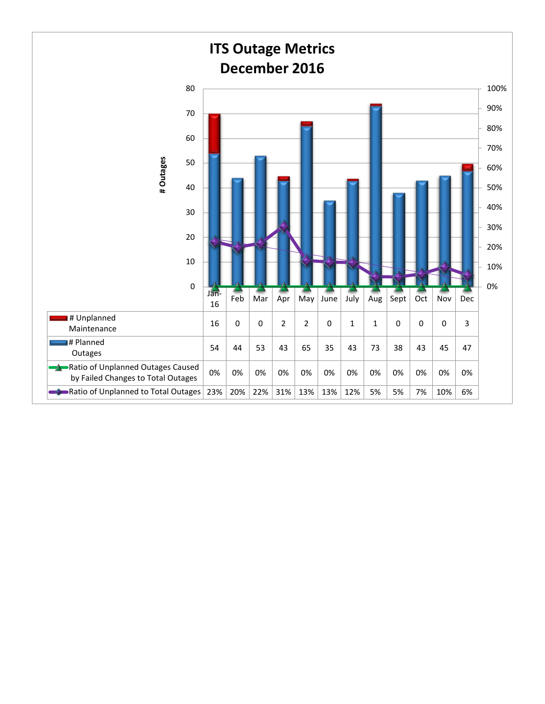